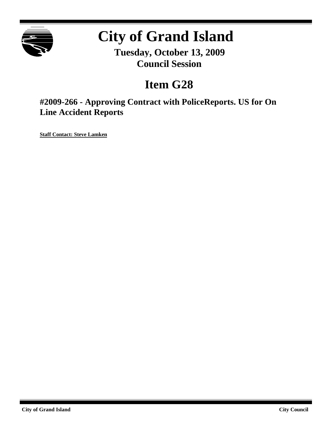

# **City of Grand Island**

**Tuesday, October 13, 2009 Council Session**

## **Item G28**

**#2009-266 - Approving Contract with PoliceReports. US for On Line Accident Reports**

**Staff Contact: Steve Lamken**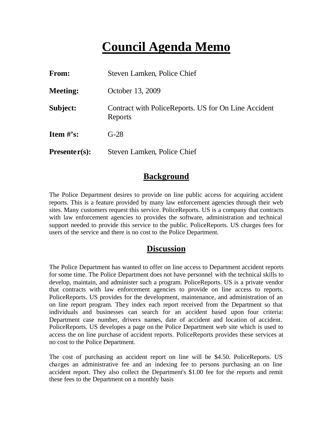## **Council Agenda Memo**

| From:           | Steven Lamken, Police Chief                                     |  |
|-----------------|-----------------------------------------------------------------|--|
| <b>Meeting:</b> | October 13, 2009                                                |  |
| Subject:        | Contract with PoliceReports. US for On Line Accident<br>Reports |  |
| Item $\#$ 's:   | $G-28$                                                          |  |
| $Presenter(s):$ | Steven Lamken, Police Chief                                     |  |

## **Background**

The Police Department desires to provide on line public access for acquiring accident reports. This is a feature provided by many law enforcement agencies through their web sites. Many customers request this service. PoliceReports. US is a company that contracts with law enforcement agencies to provides the software, administration and technical support needed to provide this service to the public. PoliceReports. US charges fees for users of the service and there is no cost to the Police Department.

## **Discussion**

The Police Department has wanted to offer on line access to Department accident reports for some time. The Police Department does not have personnel with the technical skills to develop, maintain, and administer such a program. PoliceReports. US is a private vendor that contracts with law enforcement agencies to provide on line access to reports. PoliceReports. US provides for the development, maintenance, and administration of an on line report program. They index each report received from the Department so that individuals and businesses can search for an accident based upon four criteria: Department case number, drivers names, date of accident and location of accident. PoliceReports. US developes a page on the Police Department web site which is used to access the on line purchase of accident reports. PoliceReports provides these services at no cost to the Police Department.

The cost of purchasing an accident report on line will be \$4.50. PoliceReports. US charges an administrative fee and an indexing fee to persons purchasing an on line accident report. They also collect the Department's \$1.00 fee for the reports and remit these fees to the Department on a monthly basis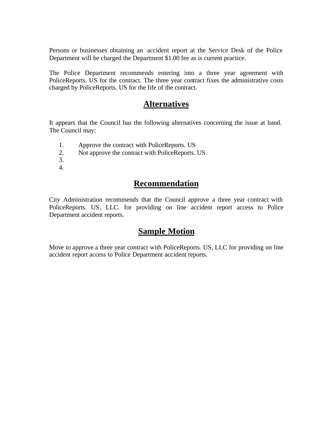Persons or businesses obtaining an accident report at the Service Desk of the Police Department will be charged the Department \$1.00 fee as is current practice.

The Police Department recommends entering into a three year agreement with PoliceReports. US for the contract. The three year contract fixes the administrative costs charged by PoliceReports. US for the life of the contract.

## **Alternatives**

It appears that the Council has the following alternatives concerning the issue at hand. The Council may:

- 1. Approve the contract with PoliceReports. US
- 2. Not approve the contract with PoliceReports. US
- 3.
- 4.

## **Recommendation**

City Administration recommends that the Council approve a three year contract with PoliceReports. US, LLC. for providing on line accident report access to Police Department accident reports.

## **Sample Motion**

Move to approve a three year contract with PoliceReports. US, LLC for providing on line accident report access to Police Department accident reports.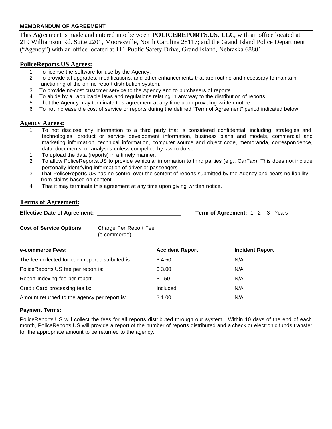#### **MEMORANDUM OF AGREEMENT**

This Agreement is made and entered into between **POLICEREPORTS.US, LLC**, with an office located at 219 Williamson Rd. Suite 2201, Mooresville, North Carolina 28117; and the Grand Island Police Department ("Agency") with an office located at 111 Public Safety Drive, Grand Island, Nebraska 68801.

#### **PoliceReports.US Agrees:**

- 1. To license the software for use by the Agency.
- 2. To provide all upgrades, modifications, and other enhancements that are routine and necessary to maintain functioning of the online report distribution system.
- 3. To provide no-cost customer service to the Agency and to purchasers of reports.
- 4. To abide by all applicable laws and regulations relating in any way to the distribution of reports.
- 5. That the Agency may terminate this agreement at any time upon providing written notice.
- 6. To not increase the cost of service or reports during the defined "Term of Agreement" period indicated below.

#### **Agency Agrees:**

- 1. To not disclose any information to a third party that is considered confidential, including: strategies and technologies, product or service development information, business plans and models, commercial and marketing information, technical information, computer source and object code, memoranda, correspondence, data, documents, or analyses unless compelled by law to do so.
- 1. To upload the data (reports) in a timely manner.
- 2. To allow PoliceReports.US to provide vehicular information to third parties (e.g., CarFax). This does not include personally identifying information of driver or passengers.
- 3. That PoliceReports.US has no control over the content of reports submitted by the Agency and bears no liability from claims based on content.
- 4. That it may terminate this agreement at any time upon giving written notice.

#### **Terms of Agreement:**

**Effective Date of Agreement: Constrained Agreement:** 2 3 Years

**Cost of Service Options:** Charge Per Report Fee (e-commerce)

| e-commerce Fees:                                  | <b>Accident Report</b> | <b>Incident Report</b> |
|---------------------------------------------------|------------------------|------------------------|
| The fee collected for each report distributed is: | \$4.50                 | N/A                    |
| PoliceReports.US fee per report is:               | \$3.00                 | N/A                    |
| Report Indexing fee per report                    | \$.50                  | N/A                    |
| Credit Card processing fee is:                    | Included               | N/A                    |
| Amount returned to the agency per report is:      | \$1.00                 | N/A                    |

#### **Payment Terms:**

PoliceReports.US will collect the fees for all reports distributed through our system. Within 10 days of the end of each month, PoliceReports.US will provide a report of the number of reports distributed and a check or electronic funds transfer for the appropriate amount to be returned to the agency.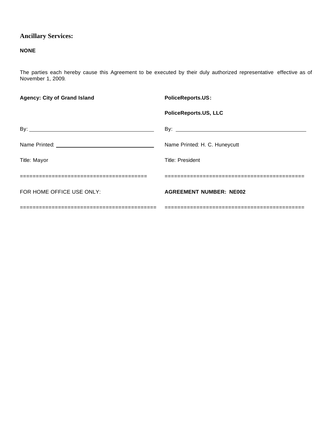### **Ancillary Services:**

#### **NONE**

The parties each hereby cause this Agreement to be executed by their duly authorized representative effective as of November 1, 2009.

| <b>Agency: City of Grand Island</b> | <b>PoliceReports.US:</b>       |  |
|-------------------------------------|--------------------------------|--|
|                                     | <b>PoliceReports.US, LLC</b>   |  |
|                                     |                                |  |
|                                     | Name Printed: H. C. Huneycutt  |  |
| Title: Mayor                        | <b>Title: President</b>        |  |
| ----------------------------------- |                                |  |
| FOR HOME OFFICE USE ONLY:           | <b>AGREEMENT NUMBER: NE002</b> |  |
|                                     |                                |  |